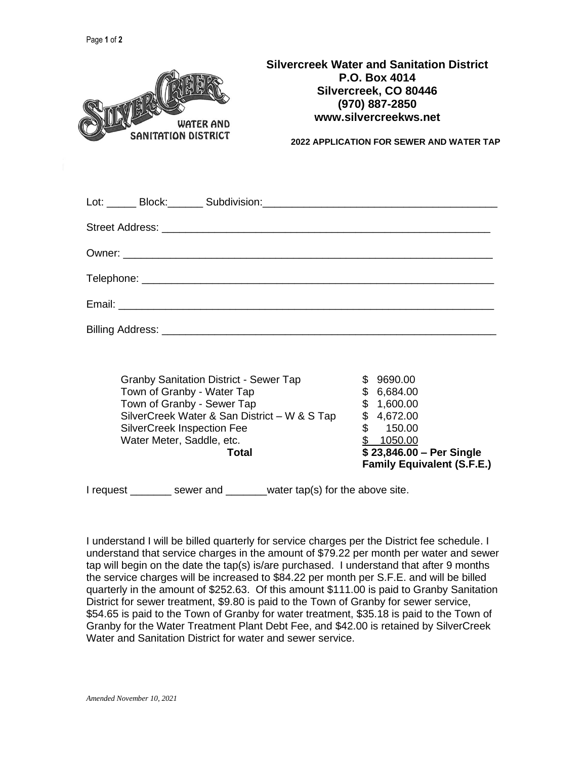| <b>WATER AND</b><br><b>SANITATION DISTRICT</b>                            | <b>Silvercreek Water and Sanitation District</b><br><b>P.O. Box 4014</b><br>Silvercreek, CO 80446<br>(970) 887-2850<br>www.silvercreekws.net<br><b>2022 APPLICATION FOR SEWER AND WATER TAP</b> |  |  |
|---------------------------------------------------------------------------|-------------------------------------------------------------------------------------------------------------------------------------------------------------------------------------------------|--|--|
|                                                                           |                                                                                                                                                                                                 |  |  |
|                                                                           |                                                                                                                                                                                                 |  |  |
|                                                                           |                                                                                                                                                                                                 |  |  |
|                                                                           |                                                                                                                                                                                                 |  |  |
|                                                                           |                                                                                                                                                                                                 |  |  |
|                                                                           |                                                                                                                                                                                                 |  |  |
|                                                                           |                                                                                                                                                                                                 |  |  |
| <b>Granby Sanitation District - Sewer Tap</b><br>Town of Crapby Mator Tap | \$9690.00<br>$C$ $C$ $C$ $O$ $A$ $O$ $O$                                                                                                                                                        |  |  |

| I request | water tap(s) for the above site.<br>sewer and |     |                                                               |
|-----------|-----------------------------------------------|-----|---------------------------------------------------------------|
|           | Total                                         |     | \$23,846.00 - Per Single<br><b>Family Equivalent (S.F.E.)</b> |
|           | Water Meter, Saddle, etc.                     |     | 1050.00                                                       |
|           | <b>SilverCreek Inspection Fee</b>             |     | 150.00                                                        |
|           | SilverCreek Water & San District - W & S Tap  | SS. | 4,672.00                                                      |
|           | Town of Granby - Sewer Tap                    | S.  | 1,600.00                                                      |
|           | Town of Granby - Water Tap                    | \$. | 6,684.00                                                      |
|           | Grandy Sanitation District - Sewer Tap        | JD. | ່ 9090.00                                                     |

I understand I will be billed quarterly for service charges per the District fee schedule. I understand that service charges in the amount of \$79.22 per month per water and sewer tap will begin on the date the tap(s) is/are purchased. I understand that after 9 months the service charges will be increased to \$84.22 per month per S.F.E. and will be billed quarterly in the amount of \$252.63. Of this amount \$111.00 is paid to Granby Sanitation District for sewer treatment, \$9.80 is paid to the Town of Granby for sewer service, \$54.65 is paid to the Town of Granby for water treatment, \$35.18 is paid to the Town of Granby for the Water Treatment Plant Debt Fee, and \$42.00 is retained by SilverCreek Water and Sanitation District for water and sewer service.